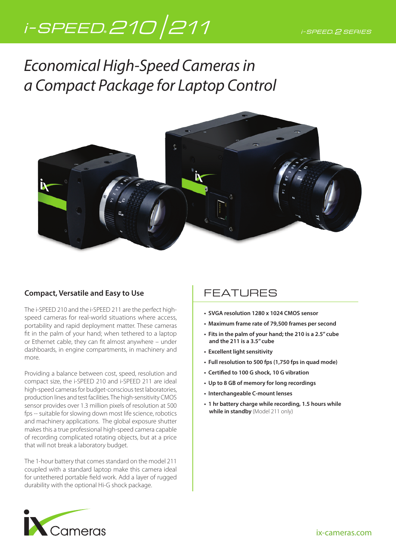# i-SPEED.210 211

Economical High-Speed Cameras in a Compact Package for Laptop Control



#### **Compact, Versatile and Easy to Use**

The i-SPEED 210 and the i-SPEED 211 are the perfect highspeed cameras for real-world situations where access, portability and rapid deployment matter. These cameras fit in the palm of your hand; when tethered to a laptop or Ethernet cable, they can fit almost anywhere – under dashboards, in engine compartments, in machinery and more.

Providing a balance between cost, speed, resolution and compact size, the i-SPEED 210 and i-SPEED 211 are ideal high-speed cameras for budget-conscious test laboratories, production lines and test facilities. The high-sensitivity CMOS sensor provides over 1.3 million pixels of resolution at 500 fps -- suitable for slowing down most life science, robotics and machinery applications. The global exposure shutter makes this a true professional high-speed camera capable of recording complicated rotating objects, but at a price that will not break a laboratory budget.

The 1-hour battery that comes standard on the model 211 coupled with a standard laptop make this camera ideal for untethered portable field work. Add a layer of rugged durability with the optional Hi-G shock package.

## FEATURES

- **SVGA resolution 1280 x 1024 CMOS sensor**
- **Maximum frame rate of 79,500 frames per second**
- **Fits in the palm of your hand; the 210 is a 2.5" cube and the 211 is a 3.5" cube**
- **Excellent light sensitivity**
- **Full resolution to 500 fps (1,750 fps in quad mode)**
- Certified to 100 G shock, 10 G vibration
- **Up to 8 GB of memory for long recordings**
- **Interchangeable C-mount lenses**
- **1 hr battery charge while recording, 1.5 hours while while in standby** (Model 211 only)